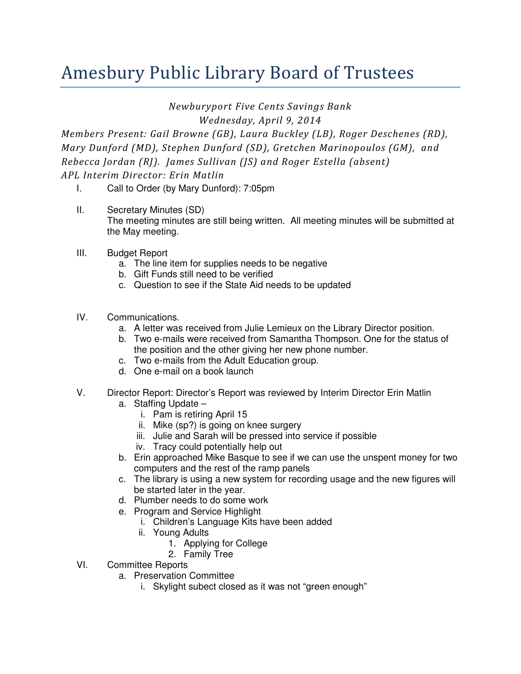## Amesbury Public Library Board of Trustees

Newburyport Five Cents Savings Bank

Wednesday, April 9, 2014

Members Present: Gail Browne (GB), Laura Buckley (LB), Roger Deschenes (RD), Mary Dunford (MD), Stephen Dunford (SD), Gretchen Marinopoulos (GM), and Rebecca Jordan (RJ). James Sullivan (JS) and Roger Estella (absent) APL Interim Director: Erin Matlin

- I. Call to Order (by Mary Dunford): 7:05pm
- II. Secretary Minutes (SD) The meeting minutes are still being written. All meeting minutes will be submitted at the May meeting.
- III. Budget Report
	- a. The line item for supplies needs to be negative
	- b. Gift Funds still need to be verified
	- c. Question to see if the State Aid needs to be updated
- IV. Communications.
	- a. A letter was received from Julie Lemieux on the Library Director position.
	- b. Two e-mails were received from Samantha Thompson. One for the status of the position and the other giving her new phone number.
	- c. Two e-mails from the Adult Education group.
	- d. One e-mail on a book launch
- V. Director Report: Director's Report was reviewed by Interim Director Erin Matlin
	- a. Staffing Update
		- i. Pam is retiring April 15
		- ii. Mike (sp?) is going on knee surgery
		- iii. Julie and Sarah will be pressed into service if possible
		- iv. Tracy could potentially help out
	- b. Erin approached Mike Basque to see if we can use the unspent money for two computers and the rest of the ramp panels
	- c. The library is using a new system for recording usage and the new figures will be started later in the year.
	- d. Plumber needs to do some work
	- e. Program and Service Highlight
		- i. Children's Language Kits have been added
		- ii. Young Adults
			- 1. Applying for College
			- 2. Family Tree
- VI. Committee Reports
	- a. Preservation Committee
		- i. Skylight subect closed as it was not "green enough"